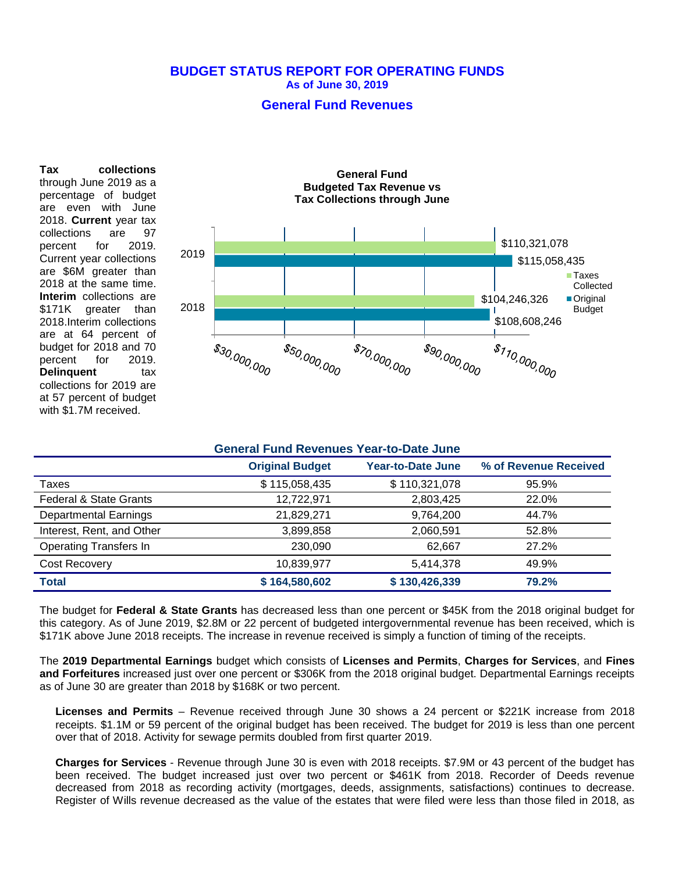## **BUDGET STATUS REPORT FOR OPERATING FUNDS As of June 30, 2019**

## **General Fund Revenues**

**Tax collections** through June 2019 as a percentage of budget are even with June 2018. **Current** year tax collections are 97 percent for 2019. Current year collections are \$6M greater than 2018 at the same time. **Interim** collections are \$171K greater than 2018.Interim collections are at 64 percent of budget for 2018 and 70 percent for 2019. **Delinquent** tax collections for 2019 are at 57 percent of budget with \$1.7M received.



| <b>General Fund Revenues Year-to-Date June</b> |                        |                          |                       |  |
|------------------------------------------------|------------------------|--------------------------|-----------------------|--|
|                                                | <b>Original Budget</b> | <b>Year-to-Date June</b> | % of Revenue Received |  |
| Taxes                                          | \$115,058,435          | \$110,321,078            | 95.9%                 |  |
| <b>Federal &amp; State Grants</b>              | 12,722,971             | 2,803,425                | 22.0%                 |  |
| <b>Departmental Earnings</b>                   | 21,829,271             | 9,764,200                | 44.7%                 |  |
| Interest, Rent, and Other                      | 3,899,858              | 2,060,591                | 52.8%                 |  |
| <b>Operating Transfers In</b>                  | 230.090                | 62.667                   | 27.2%                 |  |
| Cost Recovery                                  | 10,839,977             | 5,414,378                | 49.9%                 |  |
| <b>Total</b>                                   | \$164,580,602          | \$130,426,339            | 79.2%                 |  |

The budget for **Federal & State Grants** has decreased less than one percent or \$45K from the 2018 original budget for this category. As of June 2019, \$2.8M or 22 percent of budgeted intergovernmental revenue has been received, which is \$171K above June 2018 receipts. The increase in revenue received is simply a function of timing of the receipts.

The **2019 Departmental Earnings** budget which consists of **Licenses and Permits**, **Charges for Services**, and **Fines and Forfeitures** increased just over one percent or \$306K from the 2018 original budget. Departmental Earnings receipts as of June 30 are greater than 2018 by \$168K or two percent.

**Licenses and Permits** – Revenue received through June 30 shows a 24 percent or \$221K increase from 2018 receipts. \$1.1M or 59 percent of the original budget has been received. The budget for 2019 is less than one percent over that of 2018. Activity for sewage permits doubled from first quarter 2019.

**Charges for Services** - Revenue through June 30 is even with 2018 receipts. \$7.9M or 43 percent of the budget has been received. The budget increased just over two percent or \$461K from 2018. Recorder of Deeds revenue decreased from 2018 as recording activity (mortgages, deeds, assignments, satisfactions) continues to decrease. Register of Wills revenue decreased as the value of the estates that were filed were less than those filed in 2018, as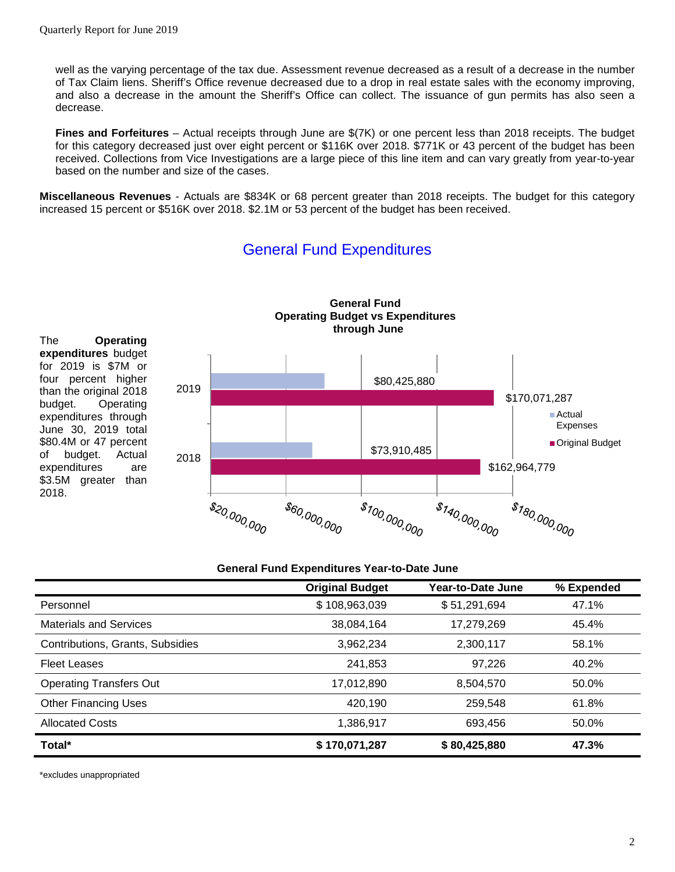well as the varying percentage of the tax due. Assessment revenue decreased as a result of a decrease in the number of Tax Claim liens. Sheriff's Office revenue decreased due to a drop in real estate sales with the economy improving, and also a decrease in the amount the Sheriff's Office can collect. The issuance of gun permits has also seen a decrease.

**Fines and Forfeitures** – Actual receipts through June are \$(7K) or one percent less than 2018 receipts. The budget for this category decreased just over eight percent or \$116K over 2018. \$771K or 43 percent of the budget has been received. Collections from Vice Investigations are a large piece of this line item and can vary greatly from year-to-year based on the number and size of the cases.

**Miscellaneous Revenues** - Actuals are \$834K or 68 percent greater than 2018 receipts. The budget for this category increased 15 percent or \$516K over 2018. \$2.1M or 53 percent of the budget has been received.



# General Fund Expenditures

#### **General Fund Expenditures Year-to-Date June**

|                                  | <b>Original Budget</b> | Year-to-Date June | % Expended |
|----------------------------------|------------------------|-------------------|------------|
| Personnel                        | \$108,963,039          | \$51,291,694      | 47.1%      |
| <b>Materials and Services</b>    | 38,084,164             | 17,279,269        | 45.4%      |
| Contributions, Grants, Subsidies | 3,962,234              | 2,300,117         | 58.1%      |
| <b>Fleet Leases</b>              | 241,853                | 97.226            | 40.2%      |
| <b>Operating Transfers Out</b>   | 17,012,890             | 8,504,570         | 50.0%      |
| <b>Other Financing Uses</b>      | 420,190                | 259.548           | 61.8%      |
| <b>Allocated Costs</b>           | 1,386,917              | 693,456           | 50.0%      |
| Total*                           | \$170,071,287          | \$80,425,880      | 47.3%      |

\*excludes unappropriated

2018.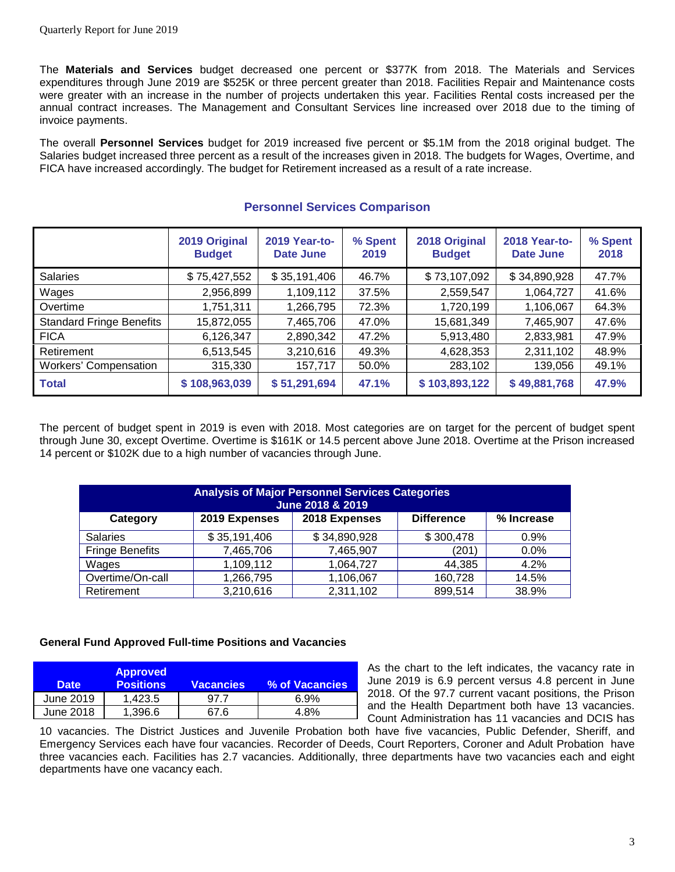The **Materials and Services** budget decreased one percent or \$377K from 2018. The Materials and Services expenditures through June 2019 are \$525K or three percent greater than 2018. Facilities Repair and Maintenance costs were greater with an increase in the number of projects undertaken this year. Facilities Rental costs increased per the annual contract increases. The Management and Consultant Services line increased over 2018 due to the timing of invoice payments.

The overall **Personnel Services** budget for 2019 increased five percent or \$5.1M from the 2018 original budget. The Salaries budget increased three percent as a result of the increases given in 2018. The budgets for Wages, Overtime, and FICA have increased accordingly. The budget for Retirement increased as a result of a rate increase.

|                                 | 2019 Original<br><b>Budget</b> | <b>2019 Year-to-</b><br>Date June | % Spent<br>2019 | 2018 Original<br><b>Budget</b> | 2018 Year-to-<br>Date June | % Spent<br>2018 |
|---------------------------------|--------------------------------|-----------------------------------|-----------------|--------------------------------|----------------------------|-----------------|
| <b>Salaries</b>                 | \$75,427,552                   | \$35,191,406                      | 46.7%           | \$73,107,092                   | \$34,890,928               | 47.7%           |
| Wages                           | 2,956,899                      | 1,109,112                         | 37.5%           | 2,559,547                      | 1,064,727                  | 41.6%           |
| Overtime                        | 1,751,311                      | 1,266,795                         | 72.3%           | 1,720,199                      | 1,106,067                  | 64.3%           |
| <b>Standard Fringe Benefits</b> | 15,872,055                     | 7,465,706                         | 47.0%           | 15,681,349                     | 7,465,907                  | 47.6%           |
| <b>FICA</b>                     | 6,126,347                      | 2,890,342                         | 47.2%           | 5,913,480                      | 2,833,981                  | 47.9%           |
| Retirement                      | 6,513,545                      | 3,210,616                         | 49.3%           | 4,628,353                      | 2,311,102                  | 48.9%           |
| <b>Workers' Compensation</b>    | 315,330                        | 157,717                           | 50.0%           | 283,102                        | 139,056                    | 49.1%           |
| <b>Total</b>                    | \$108,963,039                  | \$51,291,694                      | 47.1%           | \$103,893,122                  | \$49,881,768               | 47.9%           |

## **Personnel Services Comparison**

The percent of budget spent in 2019 is even with 2018. Most categories are on target for the percent of budget spent through June 30, except Overtime. Overtime is \$161K or 14.5 percent above June 2018. Overtime at the Prison increased 14 percent or \$102K due to a high number of vacancies through June.

| <b>Analysis of Major Personnel Services Categories</b><br>June 2018 & 2019 |               |               |                   |            |  |
|----------------------------------------------------------------------------|---------------|---------------|-------------------|------------|--|
| Category                                                                   | 2019 Expenses | 2018 Expenses | <b>Difference</b> | % Increase |  |
| <b>Salaries</b>                                                            | \$35,191,406  | \$34,890,928  | \$300,478         | 0.9%       |  |
| <b>Fringe Benefits</b>                                                     | 7,465,706     | 7,465,907     | (201              | $0.0\%$    |  |
| Wages                                                                      | 1,109,112     | 1,064,727     | 44,385            | 4.2%       |  |
| Overtime/On-call                                                           | 1,266,795     | 1,106,067     | 160,728           | 14.5%      |  |
| Retirement                                                                 | 3,210,616     | 2,311,102     | 899,514           | 38.9%      |  |

## **General Fund Approved Full-time Positions and Vacancies**

| <b>Date</b> | <b>Approved</b><br><b>Positions</b> | <b>Vacancies</b> | % of Vacancies |
|-------------|-------------------------------------|------------------|----------------|
| June 2019   | 1.423.5                             | 97.7             | 6.9%           |
| June 2018   | 1.396.6                             | 67 6             | 4.8%           |

As the chart to the left indicates, the vacancy rate in June 2019 is 6.9 percent versus 4.8 percent in June 2018. Of the 97.7 current vacant positions, the Prison and the Health Department both have 13 vacancies. Count Administration has 11 vacancies and DCIS has

10 vacancies. The District Justices and Juvenile Probation both have five vacancies, Public Defender, Sheriff, and Emergency Services each have four vacancies. Recorder of Deeds, Court Reporters, Coroner and Adult Probation have three vacancies each. Facilities has 2.7 vacancies. Additionally, three departments have two vacancies each and eight departments have one vacancy each.